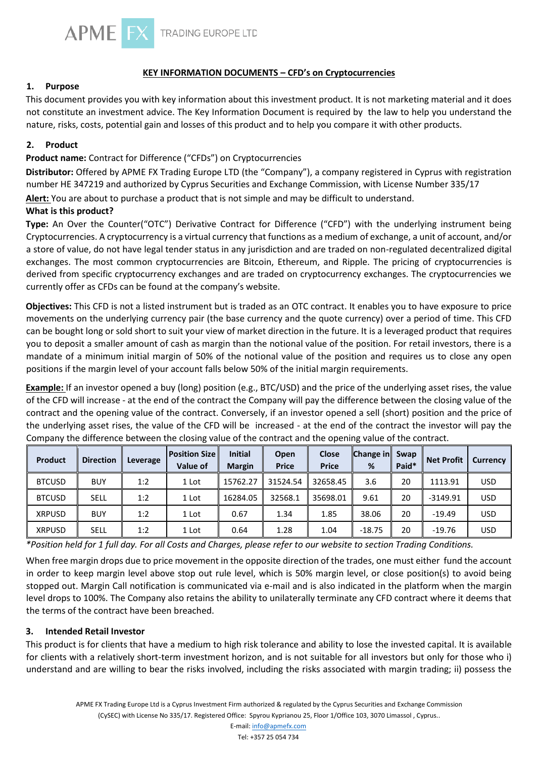

# **KEY INFORMATION DOCUMENTS – CFD's on Cryptocurrencies**

## **1. Purpose**

This document provides you with key information about this investment product. It is not marketing material and it does not constitute an investment advice. The Key Information Document is required by the law to help you understand the nature, risks, costs, potential gain and losses of this product and to help you compare it with other products.

### **2. Product**

# **Product name:** Contract for Difference ("CFDs") on Cryptocurrencies

**Distributor:** Offered by APME FX Trading Europe LTD (the "Company"), a company registered in Cyprus with registration number HE 347219 and authorized by Cyprus Securities and Exchange Commission, with License Number 335/17

**Alert:** You are about to purchase a product that is not simple and may be difficult to understand.

## **What is this product?**

**Type:** An Over the Counter("OTC") Derivative Contract for Difference ("CFD") with the underlying instrument being Cryptocurrencies. A cryptocurrency is a virtual currency that functions as a medium of exchange, a unit of account, and/or a store of value, do not have legal tender status in any jurisdiction and are traded on non-regulated decentralized digital exchanges. The most common cryptocurrencies are Bitcoin, Ethereum, and Ripple. The pricing of cryptocurrencies is derived from specific cryptocurrency exchanges and are traded on cryptocurrency exchanges. The cryptocurrencies we currently offer as CFDs can be found at the company's website.

**Objectives:** This CFD is not a listed instrument but is traded as an OTC contract. It enables you to have exposure to price movements on the underlying currency pair (the base currency and the quote currency) over a period of time. This CFD can be bought long or sold short to suit your view of market direction in the future. It is a leveraged product that requires you to deposit a smaller amount of cash as margin than the notional value of the position. For retail investors, there is a mandate of a minimum initial margin of 50% of the notional value of the position and requires us to close any open positions if the margin level of your account falls below 50% of the initial margin requirements.

**Example:** If an investor opened a buy (long) position (e.g., BTC/USD) and the price of the underlying asset rises, the value of the CFD will increase - at the end of the contract the Company will pay the difference between the closing value of the contract and the opening value of the contract. Conversely, if an investor opened a sell (short) position and the price of the underlying asset rises, the value of the CFD will be increased - at the end of the contract the investor will pay the Company the difference between the closing value of the contract and the opening value of the contract.

| Product       | <b>Direction</b> | Leverage | <b>Position Size</b><br><b>Value of</b> | <b>Initial</b><br><b>Margin</b> | Open<br><b>Price</b> | <b>Close</b><br><b>Price</b> | <b>Change in Swap</b><br>% | Paid* | <b>Net Profit</b> | <b>Currency</b> |
|---------------|------------------|----------|-----------------------------------------|---------------------------------|----------------------|------------------------------|----------------------------|-------|-------------------|-----------------|
| <b>BTCUSD</b> | <b>BUY</b>       | 1:2      | 1 Lot                                   | 15762.27                        | 31524.54             | 32658.45                     | 3.6                        | 20    | 1113.91           | <b>USD</b>      |
| <b>BTCUSD</b> | <b>SELL</b>      | 1:2      | 1 Lot                                   | 16284.05                        | 32568.1              | 35698.01                     | 9.61                       | 20    | $-3149.91$        | <b>USD</b>      |
| <b>XRPUSD</b> | <b>BUY</b>       | 1:2      | 1 Lot                                   | 0.67                            | 1.34                 | 1.85                         | 38.06                      | 20    | $-19.49$          | <b>USD</b>      |
| <b>XRPUSD</b> | <b>SELL</b>      | 1:2      | 1 Lot                                   | 0.64                            | 1.28                 | 1.04                         | $-18.75$                   | 20    | $-19.76$          | <b>USD</b>      |

*\*Position held for 1 full day. For all Costs and Charges, please refer to our website to section Trading Conditions.* 

When free margin drops due to price movement in the opposite direction of the trades, one must either fund the account in order to keep margin level above stop out rule level, which is 50% margin level, or close position(s) to avoid being stopped out. Margin Call notification is communicated via e-mail and is also indicated in the platform when the margin level drops to 100%. The Company also retains the ability to unilaterally terminate any CFD contract where it deems that the terms of the contract have been breached.

#### **3. Intended Retail Investor**

This product is for clients that have a medium to high risk tolerance and ability to lose the invested capital. It is available for clients with a relatively short-term investment horizon, and is not suitable for all investors but only for those who i) understand and are willing to bear the risks involved, including the risks associated with margin trading; ii) possess the

E-mail: info@apmefx.com Tel: +357 25 054 734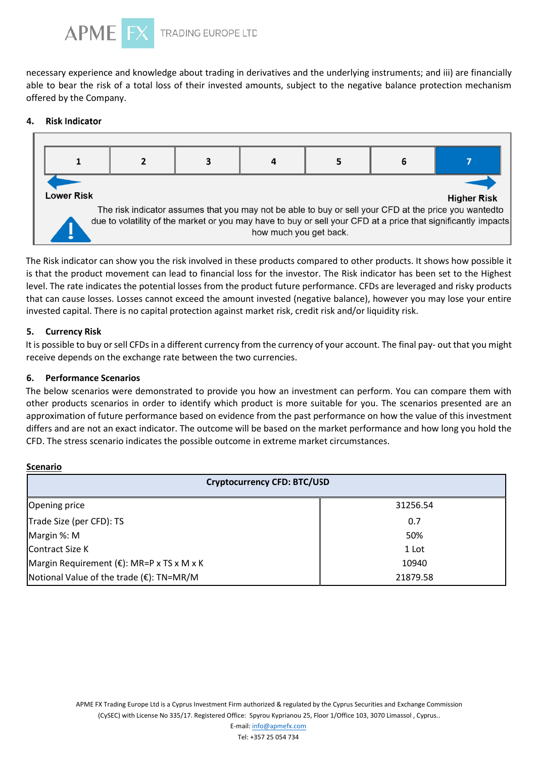

necessary experience and knowledge about trading in derivatives and the underlying instruments; and iii) are financially able to bear the risk of a total loss of their invested amounts, subject to the negative balance protection mechanism offered by the Company.

#### 4. **Risk Indicator**



The Risk indicator can show you the risk involved in these products compared to other products. It shows how possible it is that the product movement can lead to financial loss for the investor. The Risk indicator has been set to the Highest level. The rate indicates the potential losses from the product future performance. CFDs are leveraged and risky products that can cause losses. Losses cannot exceed the amount invested (negative balance), however you may lose your entire invested capital. There is no capital protection against market risk, credit risk and/or liquidity risk.

## **5. Currency Risk**

It is possible to buy or sell CFDs in a different currency from the currency of your account. The final pay- out that you might receive depends on the exchange rate between the two currencies.

### **6. Performance Scenarios**

The below scenarios were demonstrated to provide you how an investment can perform. You can compare them with other products scenarios in order to identify which product is more suitable for you. The scenarios presented are an approximation of future performance based on evidence from the past performance on how the value of this investment differs and are not an exact indicator. The outcome will be based on the market performance and how long you hold the CFD. The stress scenario indicates the possible outcome in extreme market circumstances.

#### **Scenario**

| <b>Cryptocurrency CFD: BTC/USD</b>        |          |  |  |  |  |
|-------------------------------------------|----------|--|--|--|--|
| Opening price                             | 31256.54 |  |  |  |  |
| Trade Size (per CFD): TS                  | 0.7      |  |  |  |  |
| Margin %: M                               | 50%      |  |  |  |  |
| Contract Size K                           | 1 Lot    |  |  |  |  |
| Margin Requirement (€): MR=P x TS x M x K | 10940    |  |  |  |  |
| ∥Notional Value of the trade (€): TN=MR/M | 21879.58 |  |  |  |  |

APME FX Trading Europe Ltd is a Cyprus Investment Firm authorized & regulated by the Cyprus Securities and Exchange Commission (CySEC) with License No 335/17. Registered Office: Spyrou Kyprianou 25, Floor 1/Office 103, 3070 Limassol , Cyprus..

E-mail: info@apmefx.com